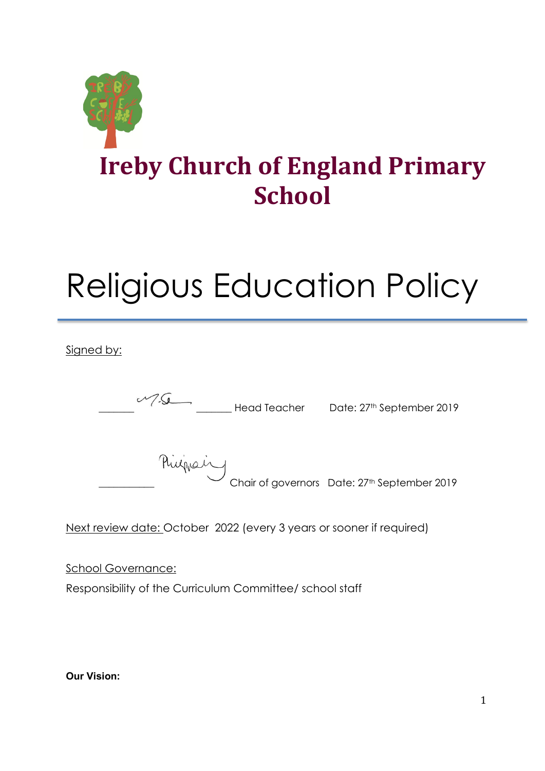

# Religious Education Policy

Signed by:

\_\_\_\_\_\_\_ \_\_\_\_\_\_\_ Head Teacher Date: 27th September 2019 minguing<br>Chair of governors Date: 27<sup>th</sup> September 2019

Next review date: October 2022 (every 3 years or sooner if required)

School Governance: Responsibility of the Curriculum Committee/ school staff

**Our Vision:**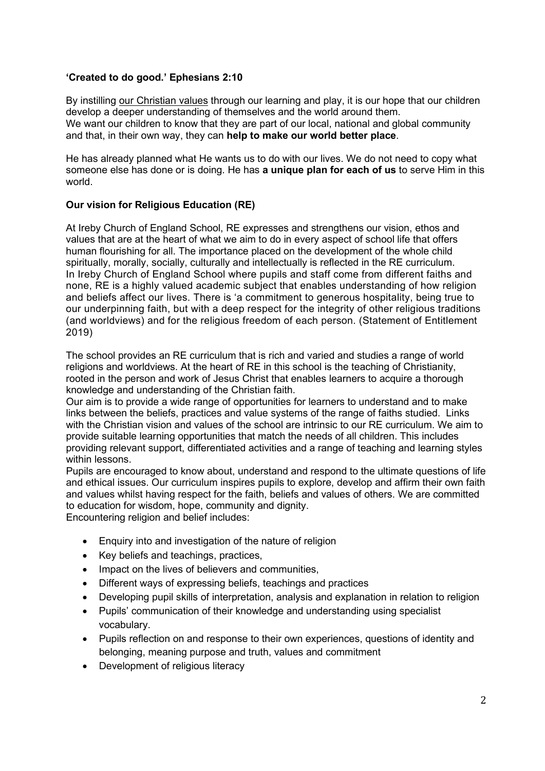#### **'Created to do good.' Ephesians 2:10**

By instilling our [Christian](https://www.irebycofeschool.co.uk/values) values through our learning and play, it is our hope that our children develop a deeper understanding of themselves and the world around them. We want our children to know that they are part of our local, national and global community and that, in their own way, they can **help to make our world better place**.

He has already planned what He wants us to do with our lives. We do not need to copy what someone else has done or is doing. He has **a unique plan for each of us** to serve Him in this world.

### **Our vision for Religious Education (RE)**

At Ireby Church of England School, RE expresses and strengthens our vision, ethos and values that are at the heart of what we aim to do in every aspect of school life that offers human flourishing for all. The importance placed on the development of the whole child spiritually, morally, socially, culturally and intellectually is reflected in the RE curriculum. In Ireby Church of England School where pupils and staff come from different faiths and none, RE is a highly valued academic subject that enables understanding of how religion and beliefs affect our lives. There is 'a commitment to generous hospitality, being true to our underpinning faith, but with a deep respect for the integrity of other religious traditions (and worldviews) and for the religious freedom of each person. (Statement of Entitlement 2019)

The school provides an RE curriculum that is rich and varied and studies a range of world religions and worldviews. At the heart of RE in this school is the teaching of Christianity, rooted in the person and work of Jesus Christ that enables learners to acquire a thorough knowledge and understanding of the Christian faith.

Our aim is to provide a wide range of opportunities for learners to understand and to make links between the beliefs, practices and value systems of the range of faiths studied. Links with the Christian vision and values of the school are intrinsic to our RE curriculum. We aim to provide suitable learning opportunities that match the needs of all children. This includes providing relevant support, differentiated activities and a range of teaching and learning styles within lessons.

Pupils are encouraged to know about, understand and respond to the ultimate questions of life and ethical issues. Our curriculum inspires pupils to explore, develop and affirm their own faith and values whilst having respect for the faith, beliefs and values of others. We are committed to education for wisdom, hope, community and dignity.

Encountering religion and belief includes:

- Enquiry into and investigation of the nature of religion
- Key beliefs and teachings, practices,
- Impact on the lives of believers and communities,
- Different ways of expressing beliefs, teachings and practices
- Developing pupil skills of interpretation, analysis and explanation in relation to religion
- Pupils' communication of their knowledge and understanding using specialist vocabulary.
- Pupils reflection on and response to their own experiences, questions of identity and belonging, meaning purpose and truth, values and commitment
- Development of religious literacy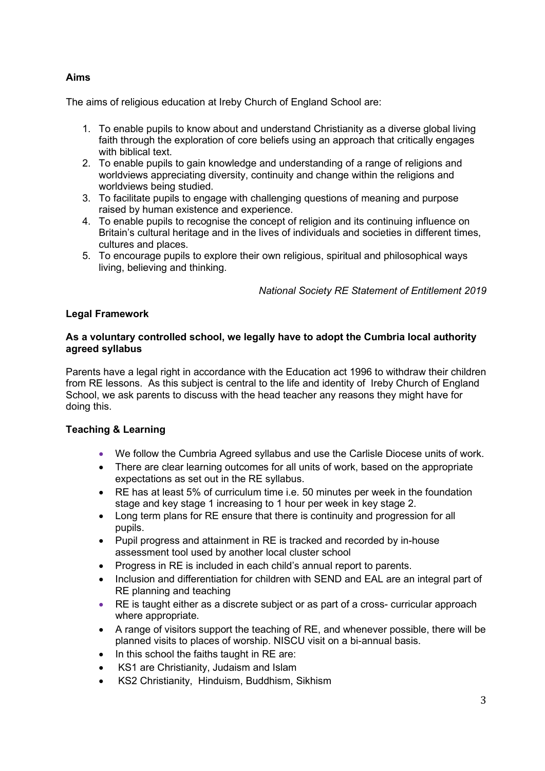## **Aims**

The aims of religious education at Ireby Church of England School are:

- 1. To enable pupils to know about and understand Christianity as a diverse global living faith through the exploration of core beliefs using an approach that critically engages with biblical text.
- 2. To enable pupils to gain knowledge and understanding of a range of religions and worldviews appreciating diversity, continuity and change within the religions and worldviews being studied.
- 3. To facilitate pupils to engage with challenging questions of meaning and purpose raised by human existence and experience.
- 4. To enable pupils to recognise the concept of religion and its continuing influence on Britain's cultural heritage and in the lives of individuals and societies in different times, cultures and places.
- 5. To encourage pupils to explore their own religious, spiritual and philosophical ways living, believing and thinking.

*National Society RE Statement of Entitlement 2019*

### **Legal Framework**

#### **As a voluntary controlled school, we legally have to adopt the Cumbria local authority agreed syllabus**

Parents have a legal right in accordance with the Education act 1996 to withdraw their children from RE lessons. As this subject is central to the life and identity of Ireby Church of England School, we ask parents to discuss with the head teacher any reasons they might have for doing this.

#### **Teaching & Learning**

- We follow the Cumbria Agreed syllabus and use the Carlisle Diocese units of work.
- There are clear learning outcomes for all units of work, based on the appropriate expectations as set out in the RE syllabus.
- RE has at least 5% of curriculum time i.e. 50 minutes per week in the foundation stage and key stage 1 increasing to 1 hour per week in key stage 2.
- Long term plans for RE ensure that there is continuity and progression for all pupils.
- Pupil progress and attainment in RE is tracked and recorded by in-house assessment tool used by another local cluster school
- Progress in RE is included in each child's annual report to parents.
- Inclusion and differentiation for children with SEND and EAL are an integral part of RE planning and teaching
- RE is taught either as a discrete subject or as part of a cross- curricular approach where appropriate.
- A range of visitors support the teaching of RE, and whenever possible, there will be planned visits to places of worship. NISCU visit on a bi-annual basis.
- In this school the faiths taught in RE are:
- KS1 are Christianity, Judaism and Islam
- KS2 Christianity, Hinduism, Buddhism, Sikhism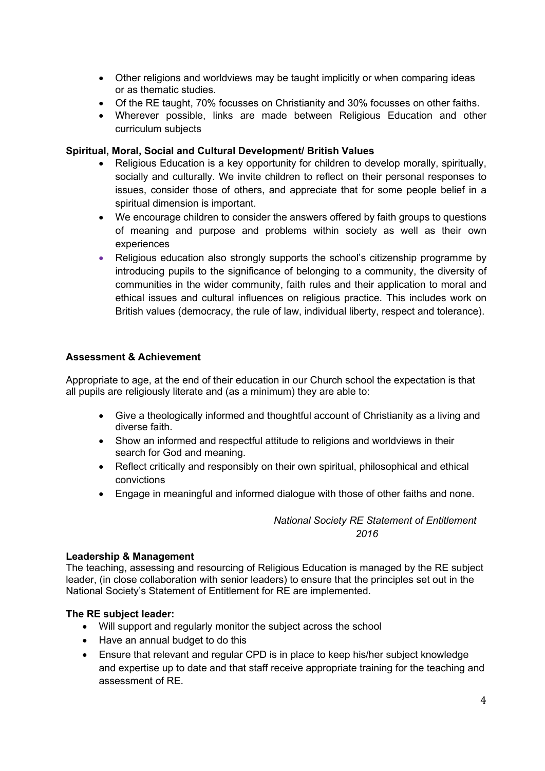- Other religions and worldviews may be taught implicitly or when comparing ideas or as thematic studies.
- Of the RE taught, 70% focusses on Christianity and 30% focusses on other faiths.
- Wherever possible, links are made between Religious Education and other curriculum subjects

#### **Spiritual, Moral, Social and Cultural Development/ British Values**

- Religious Education is a key opportunity for children to develop morally, spiritually, socially and culturally. We invite children to reflect on their personal responses to issues, consider those of others, and appreciate that for some people belief in a spiritual dimension is important.
- We encourage children to consider the answers offered by faith groups to questions of meaning and purpose and problems within society as well as their own experiences
- Religious education also strongly supports the school's citizenship programme by introducing pupils to the significance of belonging to a community, the diversity of communities in the wider community, faith rules and their application to moral and ethical issues and cultural influences on religious practice. This includes work on British values (democracy, the rule of law, individual liberty, respect and tolerance).

### **Assessment & Achievement**

Appropriate to age, at the end of their education in our Church school the expectation is that all pupils are religiously literate and (as a minimum) they are able to:

- Give a theologically informed and thoughtful account of Christianity as a living and diverse faith.
- Show an informed and respectful attitude to religions and worldviews in their search for God and meaning.
- Reflect critically and responsibly on their own spiritual, philosophical and ethical convictions
- Engage in meaningful and informed dialogue with those of other faiths and none.

## *National Society RE Statement of Entitlement 2016*

#### **Leadership & Management**

The teaching, assessing and resourcing of Religious Education is managed by the RE subject leader, (in close collaboration with senior leaders) to ensure that the principles set out in the National Society's Statement of Entitlement for RE are implemented.

#### **The RE subject leader:**

- Will support and regularly monitor the subject across the school
- Have an annual budget to do this
- Ensure that relevant and regular CPD is in place to keep his/her subject knowledge and expertise up to date and that staff receive appropriate training for the teaching and assessment of RE.